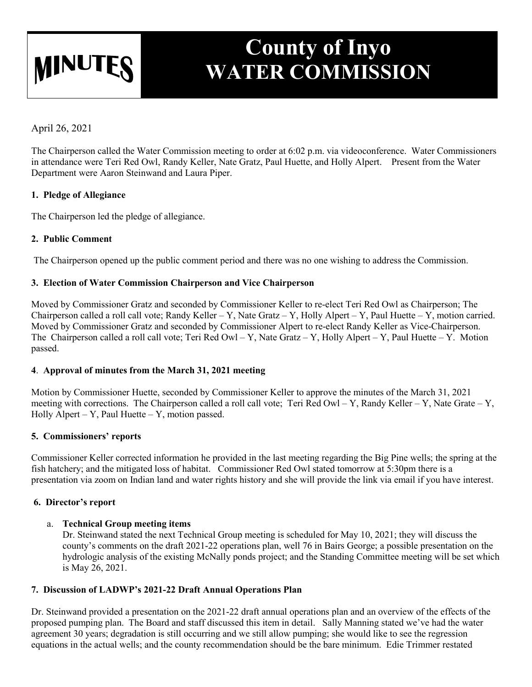# **MINUTE**

## **County of Inyo WATER COMMISSION**

April 26, 2021

The Chairperson called the Water Commission meeting to order at 6:02 p.m. via videoconference. Water Commissioners in attendance were Teri Red Owl, Randy Keller, Nate Gratz, Paul Huette, and Holly Alpert. Present from the Water Department were Aaron Steinwand and Laura Piper.

#### **1. Pledge of Allegiance**

The Chairperson led the pledge of allegiance.

#### **2. Public Comment**

The Chairperson opened up the public comment period and there was no one wishing to address the Commission.

#### **3. Election of Water Commission Chairperson and Vice Chairperson**

Moved by Commissioner Gratz and seconded by Commissioner Keller to re-elect Teri Red Owl as Chairperson; The Chairperson called a roll call vote; Randy Keller – Y, Nate Gratz – Y, Holly Alpert – Y, Paul Huette – Y, motion carried. Moved by Commissioner Gratz and seconded by Commissioner Alpert to re-elect Randy Keller as Vice-Chairperson. The Chairperson called a roll call vote; Teri Red Owl – Y, Nate Gratz – Y, Holly Alpert – Y, Paul Huette – Y. Motion passed.

### **4**. **Approval of minutes from the March 31, 2021 meeting**

Motion by Commissioner Huette, seconded by Commissioner Keller to approve the minutes of the March 31, 2021 meeting with corrections. The Chairperson called a roll call vote; Teri Red Owl – Y, Randy Keller – Y, Nate Grate – Y, Holly Alpert – Y, Paul Huette – Y, motion passed.

#### **5. Commissioners' reports**

Commissioner Keller corrected information he provided in the last meeting regarding the Big Pine wells; the spring at the fish hatchery; and the mitigated loss of habitat. Commissioner Red Owl stated tomorrow at 5:30pm there is a presentation via zoom on Indian land and water rights history and she will provide the link via email if you have interest.

#### **6. Director's report**

#### a. **Technical Group meeting items**

Dr. Steinwand stated the next Technical Group meeting is scheduled for May 10, 2021; they will discuss the county's comments on the draft 2021-22 operations plan, well 76 in Bairs George; a possible presentation on the hydrologic analysis of the existing McNally ponds project; and the Standing Committee meeting will be set which is May 26, 2021.

#### **7. Discussion of LADWP's 2021-22 Draft Annual Operations Plan**

Dr. Steinwand provided a presentation on the 2021-22 draft annual operations plan and an overview of the effects of the proposed pumping plan. The Board and staff discussed this item in detail. Sally Manning stated we've had the water agreement 30 years; degradation is still occurring and we still allow pumping; she would like to see the regression equations in the actual wells; and the county recommendation should be the bare minimum. Edie Trimmer restated